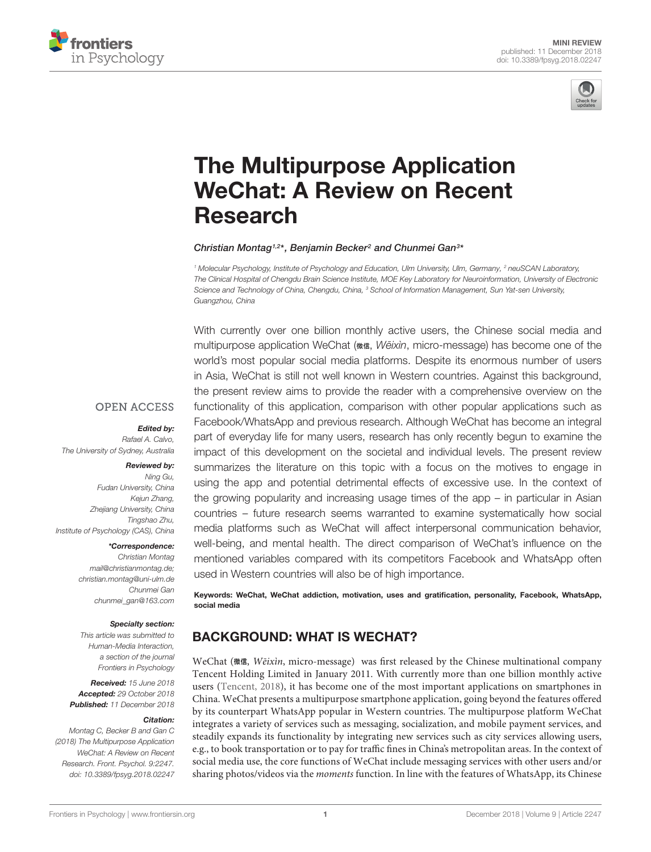



# The Multipurpose Application [WeChat: A Review on Recent](https://www.frontiersin.org/articles/10.3389/fpsyg.2018.02247/full) Research

#### [Christian Montag](http://loop.frontiersin.org/people/4601/overview)<sup>1,2\*</sup>, [Benjamin Becker](http://loop.frontiersin.org/people/113198/overview)<sup>2</sup> and [Chunmei Gan](http://loop.frontiersin.org/people/642508/overview)<sup>3\*</sup>

<sup>1</sup> Molecular Psychology, Institute of Psychology and Education, Ulm University, Ulm, Germany, <sup>2</sup> neuSCAN Laboratory, The Clinical Hospital of Chengdu Brain Science Institute, MOE Key Laboratory for Neuroinformation, University of Electronic Science and Technology of China, Chengdu, China, <sup>3</sup> School of Information Management, Sun Yat-sen University, Guangzhou, China

With currently over one billion monthly active users, the Chinese social media and multipurpose application WeChat (微信, Wēixìn, micro-message) has become one of the world's most popular social media platforms. Despite its enormous number of users in Asia, WeChat is still not well known in Western countries. Against this background, the present review aims to provide the reader with a comprehensive overview on the functionality of this application, comparison with other popular applications such as Facebook/WhatsApp and previous research. Although WeChat has become an integral part of everyday life for many users, research has only recently begun to examine the impact of this development on the societal and individual levels. The present review summarizes the literature on this topic with a focus on the motives to engage in using the app and potential detrimental effects of excessive use. In the context of the growing popularity and increasing usage times of the app – in particular in Asian countries – future research seems warranted to examine systematically how social media platforms such as WeChat will affect interpersonal communication behavior, well-being, and mental health. The direct comparison of WeChat's influence on the mentioned variables compared with its competitors Facebook and WhatsApp often used in Western countries will also be of high importance.

Keywords: WeChat, WeChat addiction, motivation, uses and gratification, personality, Facebook, WhatsApp, social media

# BACKGROUND: WHAT IS WECHAT?

WeChat (<sub>微信</sub>, *Wēixìn*, micro-message) was first released by the Chinese multinational company Tencent Holding Limited in January 2011. With currently more than one billion monthly active users [\(Tencent,](#page-6-0) [2018\)](#page-6-0), it has become one of the most important applications on smartphones in China. WeChat presents a multipurpose smartphone application, going beyond the features offered by its counterpart WhatsApp popular in Western countries. The multipurpose platform WeChat integrates a variety of services such as messaging, socialization, and mobile payment services, and steadily expands its functionality by integrating new services such as city services allowing users, e.g., to book transportation or to pay for traffic fines in China's metropolitan areas. In the context of social media use, the core functions of WeChat include messaging services with other users and/or sharing photos/videos via the *moments* function. In line with the features of WhatsApp, its Chinese

#### **OPEN ACCESS**

#### Edited by:

Rafael A. Calvo, The University of Sydney, Australia

#### Reviewed by:

Ning Gu, Fudan University, China Kejun Zhang, Zhejiang University, China Tingshao Zhu, Institute of Psychology (CAS), China

#### \*Correspondence:

Christian Montag mail@christianmontag.de; christian.montag@uni-ulm.de Chunmei Gan chunmei\_gan@163.com

#### Specialty section:

This article was submitted to Human-Media Interaction, a section of the journal Frontiers in Psychology

Received: 15 June 2018 Accepted: 29 October 2018 Published: 11 December 2018

#### Citation:

Montag C, Becker B and Gan C (2018) The Multipurpose Application WeChat: A Review on Recent Research. Front. Psychol. 9:2247. doi: [10.3389/fpsyg.2018.02247](https://doi.org/10.3389/fpsyg.2018.02247)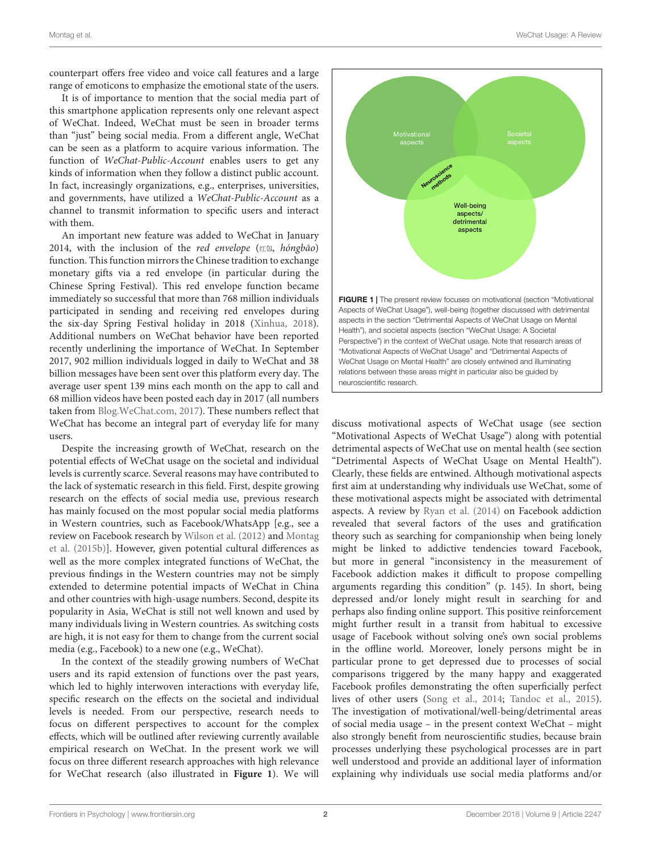counterpart offers free video and voice call features and a large range of emoticons to emphasize the emotional state of the users.

It is of importance to mention that the social media part of this smartphone application represents only one relevant aspect of WeChat. Indeed, WeChat must be seen in broader terms than "just" being social media. From a different angle, WeChat can be seen as a platform to acquire various information. The function of WeChat-Public-Account enables users to get any kinds of information when they follow a distinct public account. In fact, increasingly organizations, e.g., enterprises, universities, and governments, have utilized a WeChat-Public-Account as a channel to transmit information to specific users and interact with them.

An important new feature was added to WeChat in January 2014, with the inclusion of the red envelope ( $\pm\infty$ , hóngbāo) function. This function mirrors the Chinese tradition to exchange monetary gifts via a red envelope (in particular during the Chinese Spring Festival). This red envelope function became immediately so successful that more than 768 million individuals participated in sending and receiving red envelopes during the six-day Spring Festival holiday in 2018 [\(Xinhua,](#page-7-0) [2018\)](#page-7-0). Additional numbers on WeChat behavior have been reported recently underlining the importance of WeChat. In September 2017, 902 million individuals logged in daily to WeChat and 38 billion messages have been sent over this platform every day. The average user spent 139 mins each month on the app to call and 68 million videos have been posted each day in 2017 (all numbers taken from [Blog.WeChat.com,](#page-5-0) [2017\)](#page-5-0). These numbers reflect that WeChat has become an integral part of everyday life for many users.

Despite the increasing growth of WeChat, research on the potential effects of WeChat usage on the societal and individual levels is currently scarce. Several reasons may have contributed to the lack of systematic research in this field. First, despite growing research on the effects of social media use, previous research has mainly focused on the most popular social media platforms in Western countries, such as Facebook/WhatsApp [e.g., see a review on Facebook research by [Wilson et al.](#page-7-1) [\(2012\)](#page-7-1) and [Montag](#page-6-1) [et al.](#page-6-1) [\(2015b\)](#page-6-1)]. However, given potential cultural differences as well as the more complex integrated functions of WeChat, the previous findings in the Western countries may not be simply extended to determine potential impacts of WeChat in China and other countries with high-usage numbers. Second, despite its popularity in Asia, WeChat is still not well known and used by many individuals living in Western countries. As switching costs are high, it is not easy for them to change from the current social media (e.g., Facebook) to a new one (e.g., WeChat).

In the context of the steadily growing numbers of WeChat users and its rapid extension of functions over the past years, which led to highly interwoven interactions with everyday life, specific research on the effects on the societal and individual levels is needed. From our perspective, research needs to focus on different perspectives to account for the complex effects, which will be outlined after reviewing currently available empirical research on WeChat. In the present work we will focus on three different research approaches with high relevance for WeChat research (also illustrated in **[Figure 1](#page-1-0)**). We will



<span id="page-1-0"></span>discuss motivational aspects of WeChat usage (see section "Motivational Aspects of WeChat Usage") along with potential detrimental aspects of WeChat use on mental health (see section "Detrimental Aspects of WeChat Usage on Mental Health"). Clearly, these fields are entwined. Although motivational aspects first aim at understanding why individuals use WeChat, some of these motivational aspects might be associated with detrimental aspects. A review by [Ryan et al.](#page-6-2) [\(2014\)](#page-6-2) on Facebook addiction revealed that several factors of the uses and gratification theory such as searching for companionship when being lonely might be linked to addictive tendencies toward Facebook, but more in general "inconsistency in the measurement of Facebook addiction makes it difficult to propose compelling arguments regarding this condition" (p. 145). In short, being depressed and/or lonely might result in searching for and perhaps also finding online support. This positive reinforcement might further result in a transit from habitual to excessive usage of Facebook without solving one's own social problems in the offline world. Moreover, lonely persons might be in particular prone to get depressed due to processes of social comparisons triggered by the many happy and exaggerated Facebook profiles demonstrating the often superficially perfect lives of other users [\(Song et al.,](#page-6-3) [2014;](#page-6-3) [Tandoc et al.,](#page-6-4) [2015\)](#page-6-4). The investigation of motivational/well-being/detrimental areas of social media usage – in the present context WeChat – might also strongly benefit from neuroscientific studies, because brain processes underlying these psychological processes are in part well understood and provide an additional layer of information explaining why individuals use social media platforms and/or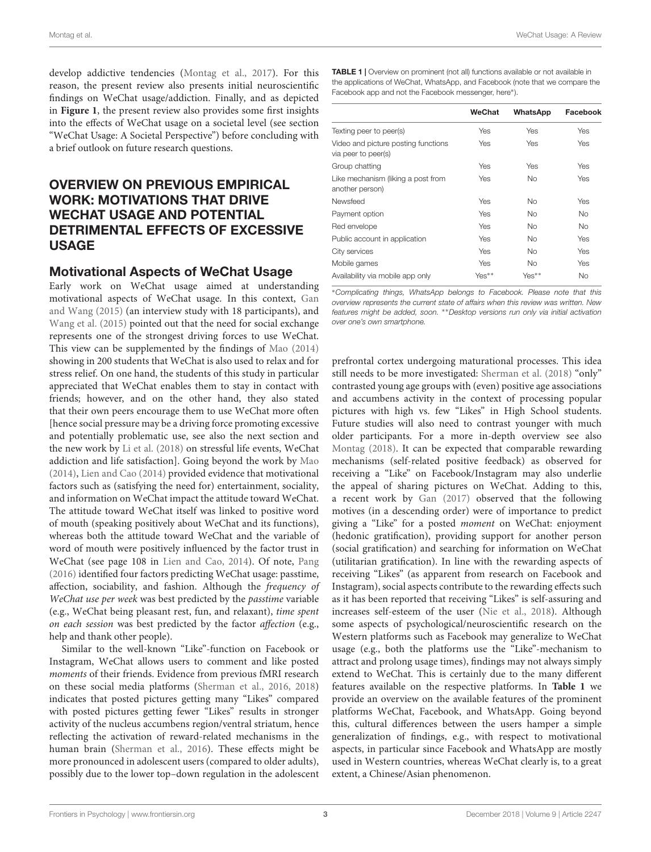develop addictive tendencies [\(Montag et al.,](#page-6-5) [2017\)](#page-6-5). For this reason, the present review also presents initial neuroscientific findings on WeChat usage/addiction. Finally, and as depicted in **[Figure 1](#page-1-0)**, the present review also provides some first insights into the effects of WeChat usage on a societal level (see section "WeChat Usage: A Societal Perspective") before concluding with a brief outlook on future research questions.

# OVERVIEW ON PREVIOUS EMPIRICAL WORK: MOTIVATIONS THAT DRIVE WECHAT USAGE AND POTENTIAL DETRIMENTAL EFFECTS OF EXCESSIVE USAGE

### Motivational Aspects of WeChat Usage

Early work on WeChat usage aimed at understanding motivational aspects of WeChat usage. In this context, [Gan](#page-5-1) [and Wang](#page-5-1) [\(2015\)](#page-5-1) (an interview study with 18 participants), and [Wang et al.](#page-7-2) [\(2015\)](#page-7-2) pointed out that the need for social exchange represents one of the strongest driving forces to use WeChat. This view can be supplemented by the findings of [Mao](#page-6-6) [\(2014\)](#page-6-6) showing in 200 students that WeChat is also used to relax and for stress relief. On one hand, the students of this study in particular appreciated that WeChat enables them to stay in contact with friends; however, and on the other hand, they also stated that their own peers encourage them to use WeChat more often [hence social pressure may be a driving force promoting excessive and potentially problematic use, see also the next section and the new work by [Li et al.](#page-6-7) [\(2018\)](#page-6-7) on stressful life events, WeChat addiction and life satisfaction]. Going beyond the work by [Mao](#page-6-6) [\(2014\)](#page-6-6), [Lien and Cao](#page-6-8) [\(2014\)](#page-6-8) provided evidence that motivational factors such as (satisfying the need for) entertainment, sociality, and information on WeChat impact the attitude toward WeChat. The attitude toward WeChat itself was linked to positive word of mouth (speaking positively about WeChat and its functions), whereas both the attitude toward WeChat and the variable of word of mouth were positively influenced by the factor trust in WeChat (see page 108 in [Lien and Cao,](#page-6-8) [2014\)](#page-6-8). Of note, [Pang](#page-6-9) [\(2016\)](#page-6-9) identified four factors predicting WeChat usage: passtime, affection, sociability, and fashion. Although the frequency of WeChat use per week was best predicted by the passtime variable (e.g., WeChat being pleasant rest, fun, and relaxant), time spent on each session was best predicted by the factor affection (e.g., help and thank other people).

Similar to the well-known "Like"-function on Facebook or Instagram, WeChat allows users to comment and like posted moments of their friends. Evidence from previous fMRI research on these social media platforms [\(Sherman et al.,](#page-6-10) [2016,](#page-6-10) [2018\)](#page-6-11) indicates that posted pictures getting many "Likes" compared with posted pictures getting fewer "Likes" results in stronger activity of the nucleus accumbens region/ventral striatum, hence reflecting the activation of reward-related mechanisms in the human brain [\(Sherman et al.,](#page-6-10) [2016\)](#page-6-10). These effects might be more pronounced in adolescent users (compared to older adults), possibly due to the lower top–down regulation in the adolescent <span id="page-2-0"></span>**TABLE 1** | Overview on prominent (not all) functions available or not available in the applications of WeChat, WhatsApp, and Facebook (note that we compare the Facebook app and not the Facebook messenger, here\*).

|                                                            | WeChat | WhatsApp  | Facebook  |
|------------------------------------------------------------|--------|-----------|-----------|
| Texting peer to peer(s)                                    | Yes    | Yes       | Yes       |
| Video and picture posting functions<br>via peer to peer(s) | Yes    | Yes       | Yes       |
| Group chatting                                             | Yes    | Yes       | Yes       |
| Like mechanism (liking a post from<br>another person)      | Yes    | <b>No</b> | Yes       |
| Newsfeed                                                   | Yes    | <b>No</b> | Yes       |
| Payment option                                             | Yes    | <b>No</b> | <b>No</b> |
| Red envelope                                               | Yes    | <b>No</b> | <b>No</b> |
| Public account in application                              | Yes    | <b>No</b> | Yes       |
| City services                                              | Yes    | <b>No</b> | Yes       |
| Mobile games                                               | Yes    | <b>No</b> | Yes       |
| Availability via mobile app only                           | Yes**  | Yes**     | <b>No</b> |

<sup>∗</sup>Complicating things, WhatsApp belongs to Facebook. Please note that this overview represents the current state of affairs when this review was written. New features might be added, soon. \*\*Desktop versions run only via initial activation over one's own smartphone.

prefrontal cortex undergoing maturational processes. This idea still needs to be more investigated: [Sherman et al.](#page-6-11) [\(2018\)](#page-6-11) "only" contrasted young age groups with (even) positive age associations and accumbens activity in the context of processing popular pictures with high vs. few "Likes" in High School students. Future studies will also need to contrast younger with much older participants. For a more in-depth overview see also [Montag](#page-6-12) [\(2018\)](#page-6-12). It can be expected that comparable rewarding mechanisms (self-related positive feedback) as observed for receiving a "Like" on Facebook/Instagram may also underlie the appeal of sharing pictures on WeChat. Adding to this, a recent work by [Gan](#page-5-2) [\(2017\)](#page-5-2) observed that the following motives (in a descending order) were of importance to predict giving a "Like" for a posted moment on WeChat: enjoyment (hedonic gratification), providing support for another person (social gratification) and searching for information on WeChat (utilitarian gratification). In line with the rewarding aspects of receiving "Likes" (as apparent from research on Facebook and Instagram), social aspects contribute to the rewarding effects such as it has been reported that receiving "Likes" is self-assuring and increases self-esteem of the user [\(Nie et al.,](#page-6-13) [2018\)](#page-6-13). Although some aspects of psychological/neuroscientific research on the Western platforms such as Facebook may generalize to WeChat usage (e.g., both the platforms use the "Like"-mechanism to attract and prolong usage times), findings may not always simply extend to WeChat. This is certainly due to the many different features available on the respective platforms. In **[Table 1](#page-2-0)** we provide an overview on the available features of the prominent platforms WeChat, Facebook, and WhatsApp. Going beyond this, cultural differences between the users hamper a simple generalization of findings, e.g., with respect to motivational aspects, in particular since Facebook and WhatsApp are mostly used in Western countries, whereas WeChat clearly is, to a great extent, a Chinese/Asian phenomenon.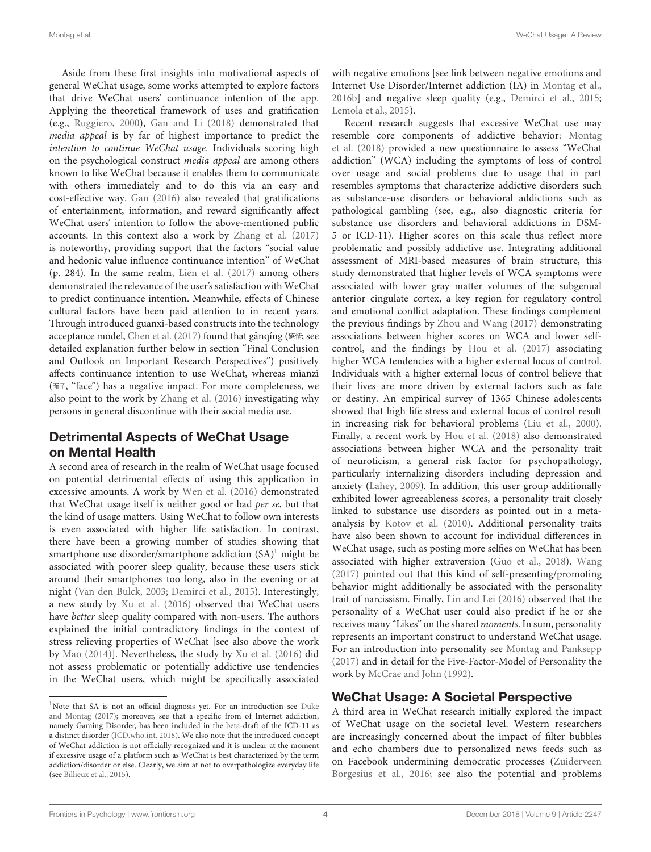Aside from these first insights into motivational aspects of general WeChat usage, some works attempted to explore factors that drive WeChat users' continuance intention of the app. Applying the theoretical framework of uses and gratification (e.g., [Ruggiero,](#page-6-14) [2000\)](#page-6-14), [Gan and Li](#page-5-3) [\(2018\)](#page-5-3) demonstrated that media appeal is by far of highest importance to predict the intention to continue WeChat usage. Individuals scoring high on the psychological construct media appeal are among others known to like WeChat because it enables them to communicate with others immediately and to do this via an easy and cost-effective way. [Gan](#page-5-4) [\(2016\)](#page-5-4) also revealed that gratifications of entertainment, information, and reward significantly affect WeChat users' intention to follow the above-mentioned public accounts. In this context also a work by [Zhang et al.](#page-7-3) [\(2017\)](#page-7-3) is noteworthy, providing support that the factors "social value and hedonic value influence continuance intention" of WeChat (p. 284). In the same realm, [Lien et al.](#page-6-15) [\(2017\)](#page-6-15) among others demonstrated the relevance of the user's satisfaction with WeChat to predict continuance intention. Meanwhile, effects of Chinese cultural factors have been paid attention to in recent years. Through introduced guanxi-based constructs into the technology acceptance model, [Chen et al.](#page-5-5) [\(2017\)](#page-5-5) found that gǎnqíng (感情; see detailed explanation further below in section "Final Conclusion and Outlook on Important Research Perspectives") positively affects continuance intention to use WeChat, whereas mìanzǐ  $(m \pm 1, m \pm 1)$  has a negative impact. For more completeness, we also point to the work by [Zhang et al.](#page-7-4) [\(2016\)](#page-7-4) investigating why persons in general discontinue with their social media use.

# Detrimental Aspects of WeChat Usage on Mental Health

A second area of research in the realm of WeChat usage focused on potential detrimental effects of using this application in excessive amounts. A work by [Wen et al.](#page-7-5) [\(2016\)](#page-7-5) demonstrated that WeChat usage itself is neither good or bad per se, but that the kind of usage matters. Using WeChat to follow own interests is even associated with higher life satisfaction. In contrast, there have been a growing number of studies showing that smartphone use disorder/smartphone addiction (SA)<sup>[1](#page-3-0)</sup> might be associated with poorer sleep quality, because these users stick around their smartphones too long, also in the evening or at night [\(Van den Bulck,](#page-7-6) [2003;](#page-7-6) [Demirci et al.,](#page-5-6) [2015\)](#page-5-6). Interestingly, a new study by [Xu et al.](#page-7-7) [\(2016\)](#page-7-7) observed that WeChat users have better sleep quality compared with non-users. The authors explained the initial contradictory findings in the context of stress relieving properties of WeChat [see also above the work by [Mao](#page-6-6) [\(2014\)](#page-6-6)]. Nevertheless, the study by [Xu et al.](#page-7-7) [\(2016\)](#page-7-7) did not assess problematic or potentially addictive use tendencies in the WeChat users, which might be specifically associated

with negative emotions [see link between negative emotions and Internet Use Disorder/Internet addiction (IA) in [Montag et al.,](#page-6-16) [2016b\]](#page-6-16) and negative sleep quality (e.g., [Demirci et al.,](#page-5-6) [2015;](#page-5-6) [Lemola et al.,](#page-6-17) [2015\)](#page-6-17).

Recent research suggests that excessive WeChat use may resemble core components of addictive behavior: [Montag](#page-6-18) [et al.](#page-6-18) [\(2018\)](#page-6-18) provided a new questionnaire to assess "WeChat addiction" (WCA) including the symptoms of loss of control over usage and social problems due to usage that in part resembles symptoms that characterize addictive disorders such as substance-use disorders or behavioral addictions such as pathological gambling (see, e.g., also diagnostic criteria for substance use disorders and behavioral addictions in DSM-5 or ICD-11). Higher scores on this scale thus reflect more problematic and possibly addictive use. Integrating additional assessment of MRI-based measures of brain structure, this study demonstrated that higher levels of WCA symptoms were associated with lower gray matter volumes of the subgenual anterior cingulate cortex, a key region for regulatory control and emotional conflict adaptation. These findings complement the previous findings by [Zhou and Wang](#page-7-8) [\(2017\)](#page-7-8) demonstrating associations between higher scores on WCA and lower selfcontrol, and the findings by [Hou et al.](#page-5-10) [\(2017\)](#page-5-10) associating higher WCA tendencies with a higher external locus of control. Individuals with a higher external locus of control believe that their lives are more driven by external factors such as fate or destiny. An empirical survey of 1365 Chinese adolescents showed that high life stress and external locus of control result in increasing risk for behavioral problems [\(Liu et al.,](#page-6-19) [2000\)](#page-6-19). Finally, a recent work by [Hou et al.](#page-5-11) [\(2018\)](#page-5-11) also demonstrated associations between higher WCA and the personality trait of neuroticism, a general risk factor for psychopathology, particularly internalizing disorders including depression and anxiety [\(Lahey,](#page-6-20) [2009\)](#page-6-20). In addition, this user group additionally exhibited lower agreeableness scores, a personality trait closely linked to substance use disorders as pointed out in a metaanalysis by [Kotov et al.](#page-6-21) [\(2010\)](#page-6-21). Additional personality traits have also been shown to account for individual differences in WeChat usage, such as posting more selfies on WeChat has been associated with higher extraversion [\(Guo et al.,](#page-5-12) [2018\)](#page-5-12). [Wang](#page-7-9) [\(2017\)](#page-7-9) pointed out that this kind of self-presenting/promoting behavior might additionally be associated with the personality trait of narcissism. Finally, [Lin and Lei](#page-6-22) [\(2016\)](#page-6-22) observed that the personality of a WeChat user could also predict if he or she receives many "Likes" on the shared moments. In sum, personality represents an important construct to understand WeChat usage. For an introduction into personality see [Montag and Panksepp](#page-6-23) [\(2017\)](#page-6-23) and in detail for the Five-Factor-Model of Personality the work by [McCrae and John](#page-6-24) [\(1992\)](#page-6-24).

### WeChat Usage: A Societal Perspective

A third area in WeChat research initially explored the impact of WeChat usage on the societal level. Western researchers are increasingly concerned about the impact of filter bubbles and echo chambers due to personalized news feeds such as on Facebook undermining democratic processes [\(Zuiderveen](#page-7-10) [Borgesius et al.,](#page-7-10) [2016;](#page-7-10) see also the potential and problems

<span id="page-3-0"></span><sup>&</sup>lt;sup>1</sup>Note that SA is not an official diag[nosis yet. For an introduction see](#page-5-7) Duke [and Montag](#page-5-7) [\(2017\)](#page-5-7); moreover, see that a specific from of Internet addiction, namely Gaming Disorder, has been included in the beta-draft of the ICD-11 as a distinct disorder [\(ICD.who.int,](#page-5-8) [2018\)](#page-5-8). We also note that the introduced concept of WeChat addiction is not officially recognized and it is unclear at the moment if excessive usage of a platform such as WeChat is best characterized by the term addiction/disorder or else. Clearly, we aim at not to overpathologize everyday life (see [Billieux et al.,](#page-5-9) [2015\)](#page-5-9).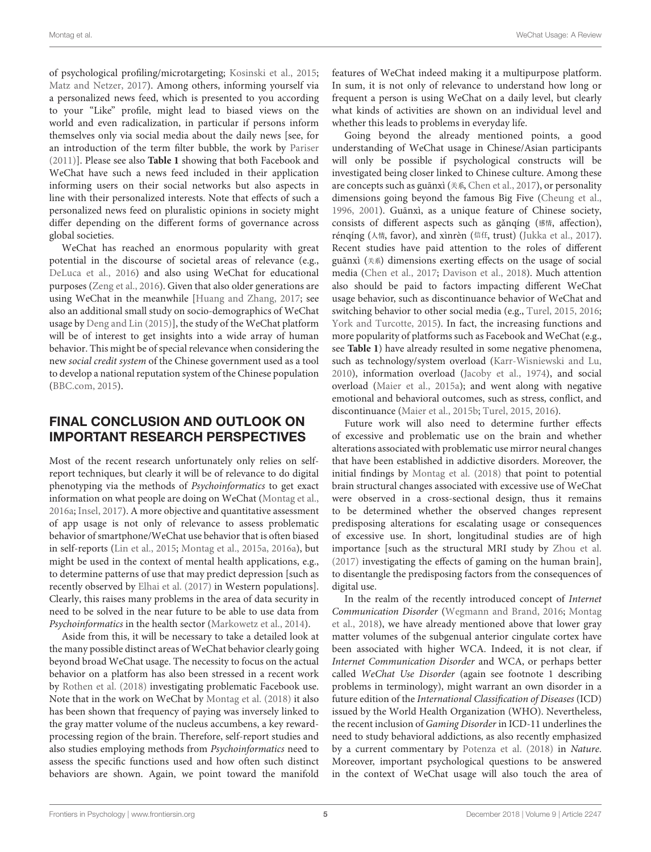of psychological profiling/microtargeting; [Kosinski et al.,](#page-6-25) [2015;](#page-6-25) [Matz and Netzer,](#page-6-26) [2017\)](#page-6-26). Among others, informing yourself via a personalized news feed, which is presented to you according to your "Like" profile, might lead to biased views on the world and even radicalization, in particular if persons inform themselves only via social media about the daily news [see, for an introduction of the term filter bubble, the work by [Pariser](#page-6-27) [\(2011\)](#page-6-27)]. Please see also **[Table 1](#page-2-0)** showing that both Facebook and WeChat have such a news feed included in their application informing users on their social networks but also aspects in line with their personalized interests. Note that effects of such a personalized news feed on pluralistic opinions in society might differ depending on the different forms of governance across global societies.

WeChat has reached an enormous popularity with great potential in the discourse of societal areas of relevance (e.g., [DeLuca et al.,](#page-5-13) [2016\)](#page-5-13) and also using WeChat for educational purposes [\(Zeng et al.,](#page-7-11) [2016\)](#page-7-11). Given that also older generations are using WeChat in the meanwhile [\[Huang and Zhang,](#page-5-14) [2017;](#page-5-14) see also an additional small study on socio-demographics of WeChat usage by [Deng and Lin](#page-5-15) [\(2015\)](#page-5-15)], the study of the WeChat platform will be of interest to get insights into a wide array of human behavior. This might be of special relevance when considering the new social credit system of the Chinese government used as a tool to develop a national reputation system of the Chinese population [\(BBC.com,](#page-5-16) [2015\)](#page-5-16).

# FINAL CONCLUSION AND OUTLOOK ON IMPORTANT RESEARCH PERSPECTIVES

Most of the recent research unfortunately only relies on selfreport techniques, but clearly it will be of relevance to do digital phenotyping via the methods of Psychoinformatics to get exact information on what people are doing on WeChat [\(Montag et al.,](#page-6-28) [2016a;](#page-6-28) [Insel,](#page-5-17) [2017\)](#page-5-17). A more objective and quantitative assessment of app usage is not only of relevance to assess problematic behavior of smartphone/WeChat use behavior that is often biased in self-reports [\(Lin et al.,](#page-6-29) [2015;](#page-6-29) [Montag et al.,](#page-6-30) [2015a,](#page-6-30) [2016a\)](#page-6-28), but might be used in the context of mental health applications, e.g., to determine patterns of use that may predict depression [such as recently observed by [Elhai et al.](#page-5-18) [\(2017\)](#page-5-18) in Western populations]. Clearly, this raises many problems in the area of data security in need to be solved in the near future to be able to use data from Psychoinformatics in the health sector [\(Markowetz et al.,](#page-6-31) [2014\)](#page-6-31).

Aside from this, it will be necessary to take a detailed look at the many possible distinct areas of WeChat behavior clearly going beyond broad WeChat usage. The necessity to focus on the actual behavior on a platform has also been stressed in a recent work by [Rothen et al.](#page-6-32) [\(2018\)](#page-6-32) investigating problematic Facebook use. Note that in the work on WeChat by [Montag et al.](#page-6-18) [\(2018\)](#page-6-18) it also has been shown that frequency of paying was inversely linked to the gray matter volume of the nucleus accumbens, a key rewardprocessing region of the brain. Therefore, self-report studies and also studies employing methods from Psychoinformatics need to assess the specific functions used and how often such distinct behaviors are shown. Again, we point toward the manifold

features of WeChat indeed making it a multipurpose platform. In sum, it is not only of relevance to understand how long or frequent a person is using WeChat on a daily level, but clearly what kinds of activities are shown on an individual level and whether this leads to problems in everyday life.

Going beyond the already mentioned points, a good understanding of WeChat usage in Chinese/Asian participants will only be possible if psychological constructs will be investigated being closer linked to Chinese culture. Among these are concepts such as guānxì (关系, [Chen et al.,](#page-5-5) [2017\)](#page-5-5), or personality dimensions going beyond the famous Big Five [\(Cheung et al.,](#page-5-19) [1996,](#page-5-19) [2001\)](#page-5-20). Guānxì, as a unique feature of Chinese society, consists of different aspects such as gǎnqíng (感情, affection), rénqíng (人情, favor), and xìnrèn (信任, trust) [\(Jukka et al.,](#page-5-21) [2017\)](#page-5-21). Recent studies have paid attention to the roles of different guānxì (  $\neq$  \$) dimensions exerting effects on the usage of social media [\(Chen et al.,](#page-5-5) [2017;](#page-5-5) [Davison et al.,](#page-5-22) [2018\)](#page-5-22). Much attention also should be paid to factors impacting different WeChat usage behavior, such as discontinuance behavior of WeChat and switching behavior to other social media (e.g., [Turel,](#page-7-12) [2015,](#page-7-12) [2016;](#page-7-13) [York and Turcotte,](#page-7-14) [2015\)](#page-7-14). In fact, the increasing functions and more popularity of platforms such as Facebook and WeChat (e.g., see **[Table 1](#page-2-0)**) have already resulted in some negative phenomena, such as technology/system overload [\(Karr-Wisniewski and Lu,](#page-6-33) [2010\)](#page-6-33), information overload [\(Jacoby et al.,](#page-5-23) [1974\)](#page-5-23), and social overload [\(Maier et al.,](#page-6-34) [2015a\)](#page-6-34); and went along with negative emotional and behavioral outcomes, such as stress, conflict, and discontinuance [\(Maier et al.,](#page-6-35) [2015b;](#page-6-35) [Turel,](#page-7-12) [2015,](#page-7-12) [2016\)](#page-7-13).

Future work will also need to determine further effects of excessive and problematic use on the brain and whether alterations associated with problematic use mirror neural changes that have been established in addictive disorders. Moreover, the initial findings by [Montag et al.](#page-6-18) [\(2018\)](#page-6-18) that point to potential brain structural changes associated with excessive use of WeChat were observed in a cross-sectional design, thus it remains to be determined whether the observed changes represent predisposing alterations for escalating usage or consequences of excessive use. In short, longitudinal studies are of high importance [such as the structural MRI study by [Zhou et al.](#page-7-15) [\(2017\)](#page-7-15) investigating the effects of gaming on the human brain], to disentangle the predisposing factors from the consequences of digital use.

In the realm of the recently introduced concept of Internet Communication Disorder [\(Wegmann and Brand,](#page-7-16) [2016;](#page-7-16) [Montag](#page-6-18) [et al.,](#page-6-18) [2018\)](#page-6-18), we have already mentioned above that lower gray matter volumes of the subgenual anterior cingulate cortex have been associated with higher WCA. Indeed, it is not clear, if Internet Communication Disorder and WCA, or perhaps better called WeChat Use Disorder (again see footnote 1 describing problems in terminology), might warrant an own disorder in a future edition of the International Classification of Diseases (ICD) issued by the World Health Organization (WHO). Nevertheless, the recent inclusion of Gaming Disorder in ICD-11 underlines the need to study behavioral addictions, as also recently emphasized by a current commentary by [Potenza et al.](#page-6-36) [\(2018\)](#page-6-36) in Nature. Moreover, important psychological questions to be answered in the context of WeChat usage will also touch the area of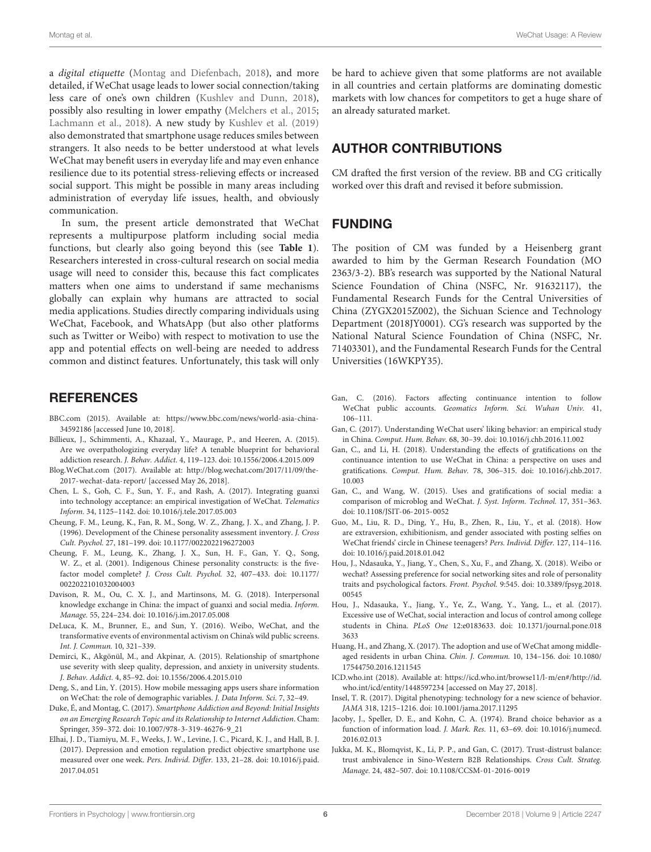a digital etiquette [\(Montag and Diefenbach,](#page-6-37) [2018\)](#page-6-37), and more detailed, if WeChat usage leads to lower social connection/taking less care of one's own children [\(Kushlev and Dunn,](#page-6-38) [2018\)](#page-6-38), possibly also resulting in lower empathy [\(Melchers et al.,](#page-6-39) [2015;](#page-6-39) [Lachmann et al.,](#page-6-40) [2018\)](#page-6-40). A new study by [Kushlev et al.](#page-6-41) [\(2019\)](#page-6-41) also demonstrated that smartphone usage reduces smiles between strangers. It also needs to be better understood at what levels WeChat may benefit users in everyday life and may even enhance resilience due to its potential stress-relieving effects or increased social support. This might be possible in many areas including administration of everyday life issues, health, and obviously communication.

In sum, the present article demonstrated that WeChat represents a multipurpose platform including social media functions, but clearly also going beyond this (see **[Table 1](#page-2-0)**). Researchers interested in cross-cultural research on social media usage will need to consider this, because this fact complicates matters when one aims to understand if same mechanisms globally can explain why humans are attracted to social media applications. Studies directly comparing individuals using WeChat, Facebook, and WhatsApp (but also other platforms such as Twitter or Weibo) with respect to motivation to use the app and potential effects on well-being are needed to address common and distinct features. Unfortunately, this task will only

#### **REFERENCES**

- <span id="page-5-16"></span>BBC.com (2015). Available at: [https://www.bbc.com/news/world-asia-china-](https://www.bbc.com/news/world-asia-china-34592186)[34592186](https://www.bbc.com/news/world-asia-china-34592186) [accessed June 10, 2018].
- <span id="page-5-9"></span>Billieux, J., Schimmenti, A., Khazaal, Y., Maurage, P., and Heeren, A. (2015). Are we overpathologizing everyday life? A tenable blueprint for behavioral addiction research. J. Behav. Addict. 4, 119–123. [doi: 10.1556/2006.4.2015.009](https://doi.org/10.1556/2006.4.2015.009)
- <span id="page-5-0"></span>Blog.WeChat.com (2017). Available at: [http://blog.wechat.com/2017/11/09/the-](http://blog.wechat.com/2017/11/09/the-2017-wechat-data-report/)[2017-wechat-data-report/](http://blog.wechat.com/2017/11/09/the-2017-wechat-data-report/) [accessed May 26, 2018].
- <span id="page-5-5"></span>Chen, L. S., Goh, C. F., Sun, Y. F., and Rash, A. (2017). Integrating guanxi into technology acceptance: an empirical investigation of WeChat. Telematics Inform. 34, 1125–1142. [doi: 10.1016/j.tele.2017.05.003](https://doi.org/10.1016/j.tele.2017.05.003)
- <span id="page-5-19"></span>Cheung, F. M., Leung, K., Fan, R. M., Song, W. Z., Zhang, J. X., and Zhang, J. P. (1996). Development of the Chinese personality assessment inventory. J. Cross Cult. Psychol. 27, 181–199. [doi: 10.1177/0022022196272003](https://doi.org/10.1177/0022022196272003)
- <span id="page-5-20"></span>Cheung, F. M., Leung, K., Zhang, J. X., Sun, H. F., Gan, Y. Q., Song, W. Z., et al. (2001). Indigenous Chinese personality constructs: is the fivefactor model complete? J. Cross Cult. Psychol. 32, 407–433. [doi: 10.1177/](https://doi.org/10.1177/0022022101032004003) [0022022101032004003](https://doi.org/10.1177/0022022101032004003)
- <span id="page-5-22"></span>Davison, R. M., Ou, C. X. J., and Martinsons, M. G. (2018). Interpersonal knowledge exchange in China: the impact of guanxi and social media. Inform. Manage. 55, 224–234. [doi: 10.1016/j.im.2017.05.008](https://doi.org/10.1016/j.im.2017.05.008)
- <span id="page-5-13"></span>DeLuca, K. M., Brunner, E., and Sun, Y. (2016). Weibo, WeChat, and the transformative events of environmental activism on China's wild public screens. Int. J. Commun. 10, 321–339.
- <span id="page-5-6"></span>Demirci, K., Akgönül, M., and Akpinar, A. (2015). Relationship of smartphone use severity with sleep quality, depression, and anxiety in university students. J. Behav. Addict. 4, 85–92. [doi: 10.1556/2006.4.2015.010](https://doi.org/10.1556/2006.4.2015.010)
- <span id="page-5-15"></span>Deng, S., and Lin, Y. (2015). How mobile messaging apps users share information on WeChat: the role of demographic variables. J. Data Inform. Sci. 7, 32–49.
- <span id="page-5-7"></span>Duke, É, and Montag, C. (2017). Smartphone Addiction and Beyond: Initial Insights on an Emerging Research Topic and its Relationship to Internet Addiction. Cham: Springer, 359–372. [doi: 10.1007/978-3-319-46276-9\\_21](https://doi.org/10.1007/978-3-319-46276-9_21)
- <span id="page-5-18"></span>Elhai, J. D., Tiamiyu, M. F., Weeks, J. W., Levine, J. C., Picard, K. J., and Hall, B. J. (2017). Depression and emotion regulation predict objective smartphone use measured over one week. Pers. Individ. Differ. 133, 21–28. [doi: 10.1016/j.paid.](https://doi.org/10.1016/j.paid.2017.04.051) [2017.04.051](https://doi.org/10.1016/j.paid.2017.04.051)

be hard to achieve given that some platforms are not available in all countries and certain platforms are dominating domestic markets with low chances for competitors to get a huge share of an already saturated market.

### AUTHOR CONTRIBUTIONS

CM drafted the first version of the review. BB and CG critically worked over this draft and revised it before submission.

### FUNDING

The position of CM was funded by a Heisenberg grant awarded to him by the German Research Foundation (MO 2363/3-2). BB's research was supported by the National Natural Science Foundation of China (NSFC, Nr. 91632117), the Fundamental Research Funds for the Central Universities of China (ZYGX2015Z002), the Sichuan Science and Technology Department (2018JY0001). CG's research was supported by the National Natural Science Foundation of China (NSFC, Nr. 71403301), and the Fundamental Research Funds for the Central Universities (16WKPY35).

- <span id="page-5-4"></span>Gan, C. (2016). Factors affecting continuance intention to follow WeChat public accounts. Geomatics Inform. Sci. Wuhan Univ. 41, 106–111.
- <span id="page-5-2"></span>Gan, C. (2017). Understanding WeChat users' liking behavior: an empirical study in China. Comput. Hum. Behav. 68, 30–39. [doi: 10.1016/j.chb.2016.11.002](https://doi.org/10.1016/j.chb.2016.11.002)
- <span id="page-5-3"></span>Gan, C., and Li, H. (2018). Understanding the effects of gratifications on the continuance intention to use WeChat in China: a perspective on uses and gratifications. Comput. Hum. Behav. 78, 306–315. [doi: 10.1016/j.chb.2017.](https://doi.org/10.1016/j.chb.2017.10.003) [10.003](https://doi.org/10.1016/j.chb.2017.10.003)
- <span id="page-5-1"></span>Gan, C., and Wang, W. (2015). Uses and gratifications of social media: a comparison of microblog and WeChat. J. Syst. Inform. Technol. 17, 351–363. [doi: 10.1108/JSIT-06-2015-0052](https://doi.org/10.1108/JSIT-06-2015-0052)
- <span id="page-5-12"></span>Guo, M., Liu, R. D., Ding, Y., Hu, B., Zhen, R., Liu, Y., et al. (2018). How are extraversion, exhibitionism, and gender associated with posting selfies on WeChat friends' circle in Chinese teenagers? Pers. Individ. Differ. 127, 114–116. [doi: 10.1016/j.paid.2018.01.042](https://doi.org/10.1016/j.paid.2018.01.042)
- <span id="page-5-11"></span>Hou, J., Ndasauka, Y., Jiang, Y., Chen, S., Xu, F., and Zhang, X. (2018). Weibo or wechat? Assessing preference for social networking sites and role of personality traits and psychological factors. Front. Psychol. 9:545. [doi: 10.3389/fpsyg.2018.](https://doi.org/10.3389/fpsyg.2018.00545) [00545](https://doi.org/10.3389/fpsyg.2018.00545)
- <span id="page-5-10"></span>Hou, J., Ndasauka, Y., Jiang, Y., Ye, Z., Wang, Y., Yang, L., et al. (2017). Excessive use of WeChat, social interaction and locus of control among college students in China. PLoS One 12:e0183633. [doi: 10.1371/journal.pone.018](https://doi.org/10.1371/journal.pone.0183633) [3633](https://doi.org/10.1371/journal.pone.0183633)
- <span id="page-5-14"></span>Huang, H., and Zhang, X. (2017). The adoption and use of WeChat among middleaged residents in urban China. Chin. J. Commun. 10, 134–156. [doi: 10.1080/](https://doi.org/10.1080/17544750.2016.1211545) [17544750.2016.1211545](https://doi.org/10.1080/17544750.2016.1211545)
- <span id="page-5-8"></span>ICD.who.int (2018). Available at: [https://icd.who.int/browse11/l-m/en#/http://id.](https://icd.who.int/browse11/l-m/en#/http://id.who.int/icd/entity/1448597234) [who.int/icd/entity/1448597234](https://icd.who.int/browse11/l-m/en#/http://id.who.int/icd/entity/1448597234) [accessed on May 27, 2018].
- <span id="page-5-17"></span>Insel, T. R. (2017). Digital phenotyping: technology for a new science of behavior. JAMA 318, 1215–1216. [doi: 10.1001/jama.2017.11295](https://doi.org/10.1001/jama.2017.11295)
- <span id="page-5-23"></span>Jacoby, J., Speller, D. E., and Kohn, C. A. (1974). Brand choice behavior as a function of information load. J. Mark. Res. 11, 63–69. [doi: 10.1016/j.numecd.](https://doi.org/10.1016/j.numecd.2016.02.013) [2016.02.013](https://doi.org/10.1016/j.numecd.2016.02.013)
- <span id="page-5-21"></span>Jukka, M. K., Blomqvist, K., Li, P. P., and Gan, C. (2017). Trust-distrust balance: trust ambivalence in Sino-Western B2B Relationships. Cross Cult. Strateg. Manage. 24, 482–507. [doi: 10.1108/CCSM-01-2016-0019](https://doi.org/10.1108/CCSM-01-2016-0019)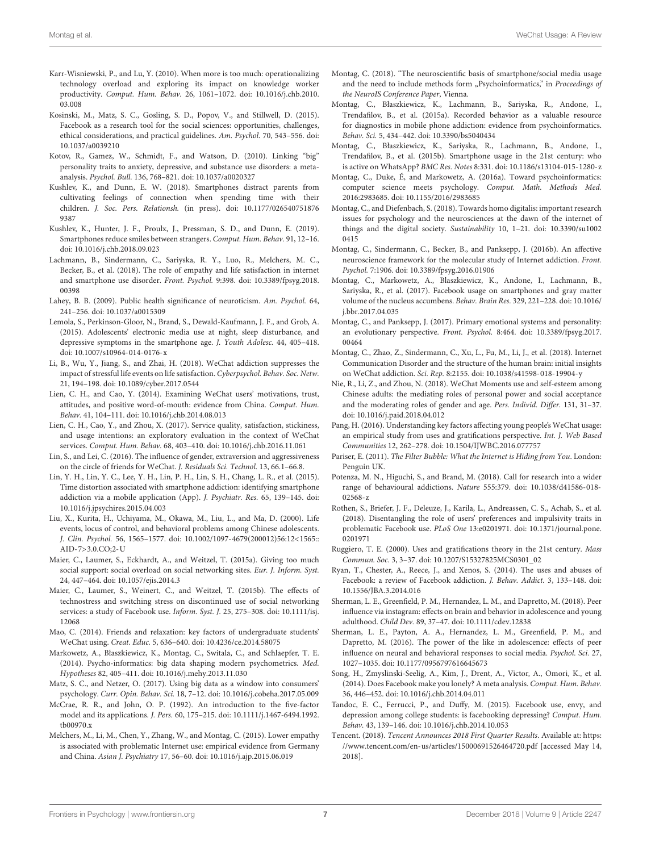- <span id="page-6-33"></span>Karr-Wisniewski, P., and Lu, Y. (2010). When more is too much: operationalizing technology overload and exploring its impact on knowledge worker productivity. Comput. Hum. Behav. 26, 1061–1072. [doi: 10.1016/j.chb.2010.](https://doi.org/10.1016/j.chb.2010.03.008) [03.008](https://doi.org/10.1016/j.chb.2010.03.008)
- <span id="page-6-25"></span>Kosinski, M., Matz, S. C., Gosling, S. D., Popov, V., and Stillwell, D. (2015). Facebook as a research tool for the social sciences: opportunities, challenges, ethical considerations, and practical guidelines. Am. Psychol. 70, 543–556. [doi:](https://doi.org/10.1037/a0039210) [10.1037/a0039210](https://doi.org/10.1037/a0039210)
- <span id="page-6-21"></span>Kotov, R., Gamez, W., Schmidt, F., and Watson, D. (2010). Linking "big" personality traits to anxiety, depressive, and substance use disorders: a metaanalysis. Psychol. Bull. 136, 768–821. [doi: 10.1037/a0020327](https://doi.org/10.1037/a0020327)
- <span id="page-6-38"></span>Kushlev, K., and Dunn, E. W. (2018). Smartphones distract parents from cultivating feelings of connection when spending time with their children. J. Soc. Pers. Relationsh. (in press). [doi: 10.1177/026540751876](https://doi.org/10.1177/0265407518769387) [9387](https://doi.org/10.1177/0265407518769387)
- <span id="page-6-41"></span>Kushlev, K., Hunter, J. F., Proulx, J., Pressman, S. D., and Dunn, E. (2019). Smartphones reduce smiles between strangers. Comput. Hum. Behav. 91, 12–16. [doi: 10.1016/j.chb.2018.09.023](https://doi.org/10.1016/j.chb.2018.09.023)
- <span id="page-6-40"></span>Lachmann, B., Sindermann, C., Sariyska, R. Y., Luo, R., Melchers, M. C., Becker, B., et al. (2018). The role of empathy and life satisfaction in internet and smartphone use disorder. Front. Psychol. 9:398. [doi: 10.3389/fpsyg.2018.](https://doi.org/10.3389/fpsyg.2018.00398) [00398](https://doi.org/10.3389/fpsyg.2018.00398)
- <span id="page-6-20"></span>Lahey, B. B. (2009). Public health significance of neuroticism. Am. Psychol. 64, 241–256. [doi: 10.1037/a0015309](https://doi.org/10.1037/a0015309)
- <span id="page-6-17"></span>Lemola, S., Perkinson-Gloor, N., Brand, S., Dewald-Kaufmann, J. F., and Grob, A. (2015). Adolescents' electronic media use at night, sleep disturbance, and depressive symptoms in the smartphone age. J. Youth Adolesc. 44, 405–418. [doi: 10.1007/s10964-014-0176-x](https://doi.org/10.1007/s10964-014-0176-x)
- <span id="page-6-7"></span>Li, B., Wu, Y., Jiang, S., and Zhai, H. (2018). WeChat addiction suppresses the impact of stressful life events on life satisfaction. Cyberpsychol. Behav. Soc. Netw. 21, 194–198. [doi: 10.1089/cyber.2017.0544](https://doi.org/10.1089/cyber.2017.0544)
- <span id="page-6-8"></span>Lien, C. H., and Cao, Y. (2014). Examining WeChat users' motivations, trust, attitudes, and positive word-of-mouth: evidence from China. Comput. Hum. Behav. 41, 104–111. [doi: 10.1016/j.chb.2014.08.013](https://doi.org/10.1016/j.chb.2014.08.013)
- <span id="page-6-15"></span>Lien, C. H., Cao, Y., and Zhou, X. (2017). Service quality, satisfaction, stickiness, and usage intentions: an exploratory evaluation in the context of WeChat services. Comput. Hum. Behav. 68, 403–410. [doi: 10.1016/j.chb.2016.11.061](https://doi.org/10.1016/j.chb.2016.11.061)
- <span id="page-6-22"></span>Lin, S., and Lei, C. (2016). The influence of gender, extraversion and aggressiveness on the circle of friends for WeChat. J. Residuals Sci. Technol. 13, 66.1–66.8.
- <span id="page-6-29"></span>Lin, Y. H., Lin, Y. C., Lee, Y. H., Lin, P. H., Lin, S. H., Chang, L. R., et al. (2015). Time distortion associated with smartphone addiction: identifying smartphone addiction via a mobile application (App). J. Psychiatr. Res. 65, 139–145. [doi:](https://doi.org/10.1016/j.jpsychires.2015.04.003) [10.1016/j.jpsychires.2015.04.003](https://doi.org/10.1016/j.jpsychires.2015.04.003)
- <span id="page-6-19"></span>Liu, X., Kurita, H., Uchiyama, M., Okawa, M., Liu, L., and Ma, D. (2000). Life events, locus of control, and behavioral problems among Chinese adolescents. J. Clin. Psychol. 56, 1565–1577. [doi: 10.1002/1097-4679\(200012\)56:12<1565::](https://doi.org/10.1002/1097-4679(200012)56:12<1565::AID-7>3.0.CO;2-U) [AID-7>3.0.CO;2-U](https://doi.org/10.1002/1097-4679(200012)56:12<1565::AID-7>3.0.CO;2-U)
- <span id="page-6-34"></span>Maier, C., Laumer, S., Eckhardt, A., and Weitzel, T. (2015a). Giving too much social support: social overload on social networking sites. Eur. J. Inform. Syst. 24, 447–464. [doi: 10.1057/ejis.2014.3](https://doi.org/10.1057/ejis.2014.3)
- <span id="page-6-35"></span>Maier, C., Laumer, S., Weinert, C., and Weitzel, T. (2015b). The effects of technostress and switching stress on discontinued use of social networking services: a study of Facebook use. Inform. Syst. J. 25, 275–308. [doi: 10.1111/isj.](https://doi.org/10.1111/isj.12068) [12068](https://doi.org/10.1111/isj.12068)
- <span id="page-6-6"></span>Mao, C. (2014). Friends and relaxation: key factors of undergraduate students' WeChat using. Creat. Educ. 5, 636–640. [doi: 10.4236/ce.2014.58075](https://doi.org/10.4236/ce.2014.58075)
- <span id="page-6-31"></span>Markowetz, A., Błaszkiewicz, K., Montag, C., Switala, C., and Schlaepfer, T. E. (2014). Psycho-informatics: big data shaping modern psychometrics. Med. Hypotheses 82, 405–411. [doi: 10.1016/j.mehy.2013.11.030](https://doi.org/10.1016/j.mehy.2013.11.030)
- <span id="page-6-26"></span>Matz, S. C., and Netzer, O. (2017). Using big data as a window into consumers' psychology. Curr. Opin. Behav. Sci. 18, 7–12. [doi: 10.1016/j.cobeha.2017.05.009](https://doi.org/10.1016/j.cobeha.2017.05.009)
- <span id="page-6-24"></span>McCrae, R. R., and John, O. P. (1992). An introduction to the five-factor model and its applications. J. Pers. 60, 175–215. [doi: 10.1111/j.1467-6494.1992.](https://doi.org/10.1111/j.1467-6494.1992.tb00970.x) [tb00970.x](https://doi.org/10.1111/j.1467-6494.1992.tb00970.x)
- <span id="page-6-39"></span>Melchers, M., Li, M., Chen, Y., Zhang, W., and Montag, C. (2015). Lower empathy is associated with problematic Internet use: empirical evidence from Germany and China. Asian J. Psychiatry 17, 56–60. [doi: 10.1016/j.ajp.2015.06.019](https://doi.org/10.1016/j.ajp.2015.06.019)
- <span id="page-6-12"></span>Montag, C. (2018). "The neuroscientific basis of smartphone/social media usage and the need to include methods form "Psychoinformatics," in Proceedings of the NeuroIS Conference Paper, Vienna.
- <span id="page-6-30"></span>Montag, C., Błaszkiewicz, K., Lachmann, B., Sariyska, R., Andone, I., Trendafilov, B., et al. (2015a). Recorded behavior as a valuable resource for diagnostics in mobile phone addiction: evidence from psychoinformatics. Behav. Sci. 5, 434–442. [doi: 10.3390/bs5040434](https://doi.org/10.3390/bs5040434)
- <span id="page-6-1"></span>Montag, C., Błaszkiewicz, K., Sariyska, R., Lachmann, B., Andone, I., Trendafilov, B., et al. (2015b). Smartphone usage in the 21st century: who is active on WhatsApp? BMC Res. Notes 8:331. [doi: 10.1186/s13104-015-1280-z](https://doi.org/10.1186/s13104-015-1280-z)
- <span id="page-6-28"></span>Montag, C., Duke, É, and Markowetz, A. (2016a). Toward psychoinformatics: computer science meets psychology. Comput. Math. Methods Med. 2016:2983685. [doi: 10.1155/2016/2983685](https://doi.org/10.1155/2016/2983685)
- <span id="page-6-37"></span>Montag, C., and Diefenbach, S. (2018). Towards homo digitalis: important research issues for psychology and the neurosciences at the dawn of the internet of things and the digital society. Sustainability 10, 1–21. [doi: 10.3390/su1002](https://doi.org/10.3390/su10020415) [0415](https://doi.org/10.3390/su10020415)
- <span id="page-6-16"></span>Montag, C., Sindermann, C., Becker, B., and Panksepp, J. (2016b). An affective neuroscience framework for the molecular study of Internet addiction. Front. Psychol. 7:1906. [doi: 10.3389/fpsyg.2016.01906](https://doi.org/10.3389/fpsyg.2016.01906)
- <span id="page-6-5"></span>Montag, C., Markowetz, A., Blaszkiewicz, K., Andone, I., Lachmann, B., Sariyska, R., et al. (2017). Facebook usage on smartphones and gray matter volume of the nucleus accumbens. Behav. Brain Res. 329, 221–228. [doi: 10.1016/](https://doi.org/10.1016/j.bbr.2017.04.035) [j.bbr.2017.04.035](https://doi.org/10.1016/j.bbr.2017.04.035)
- <span id="page-6-23"></span>Montag, C., and Panksepp, J. (2017). Primary emotional systems and personality: an evolutionary perspective. Front. Psychol. 8:464. [doi: 10.3389/fpsyg.2017.](https://doi.org/10.3389/fpsyg.2017.00464) [00464](https://doi.org/10.3389/fpsyg.2017.00464)
- <span id="page-6-18"></span>Montag, C., Zhao, Z., Sindermann, C., Xu, L., Fu, M., Li, J., et al. (2018). Internet Communication Disorder and the structure of the human brain: initial insights on WeChat addiction. Sci. Rep. 8:2155. [doi: 10.1038/s41598-018-19904-y](https://doi.org/10.1038/s41598-018-19904-y)
- <span id="page-6-13"></span>Nie, R., Li, Z., and Zhou, N. (2018). WeChat Moments use and self-esteem among Chinese adults: the mediating roles of personal power and social acceptance and the moderating roles of gender and age. Pers. Individ. Differ. 131, 31–37. [doi: 10.1016/j.paid.2018.04.012](https://doi.org/10.1016/j.paid.2018.04.012)
- <span id="page-6-9"></span>Pang, H. (2016). Understanding key factors affecting young people's WeChat usage: an empirical study from uses and gratifications perspective. Int. J. Web Based Communities 12, 262–278. [doi: 10.1504/IJWBC.2016.077757](https://doi.org/10.1504/IJWBC.2016.077757)
- <span id="page-6-27"></span>Pariser, E. (2011). The Filter Bubble: What the Internet is Hiding from You. London: Penguin UK.
- <span id="page-6-36"></span>Potenza, M. N., Higuchi, S., and Brand, M. (2018). Call for research into a wider range of behavioural addictions. Nature 555:379. [doi: 10.1038/d41586-018-](https://doi.org/10.1038/d41586-018-02568-z) [02568-z](https://doi.org/10.1038/d41586-018-02568-z)
- <span id="page-6-32"></span>Rothen, S., Briefer, J. F., Deleuze, J., Karila, L., Andreassen, C. S., Achab, S., et al. (2018). Disentangling the role of users' preferences and impulsivity traits in problematic Facebook use. PLoS One 13:e0201971. [doi: 10.1371/journal.pone.](https://doi.org/10.1371/journal.pone.0201971) [0201971](https://doi.org/10.1371/journal.pone.0201971)
- <span id="page-6-14"></span>Ruggiero, T. E. (2000). Uses and gratifications theory in the 21st century. Mass Commun. Soc. 3, 3–37. [doi: 10.1207/S15327825MCS0301\\_02](https://doi.org/10.1207/S15327825MCS0301_02)
- <span id="page-6-2"></span>Ryan, T., Chester, A., Reece, J., and Xenos, S. (2014). The uses and abuses of Facebook: a review of Facebook addiction. J. Behav. Addict. 3, 133–148. [doi:](https://doi.org/10.1556/JBA.3.2014.016) [10.1556/JBA.3.2014.016](https://doi.org/10.1556/JBA.3.2014.016)
- <span id="page-6-11"></span>Sherman, L. E., Greenfield, P. M., Hernandez, L. M., and Dapretto, M. (2018). Peer influence via instagram: effects on brain and behavior in adolescence and young adulthood. Child Dev. 89, 37–47. [doi: 10.1111/cdev.12838](https://doi.org/10.1111/cdev.12838)
- <span id="page-6-10"></span>Sherman, L. E., Payton, A. A., Hernandez, L. M., Greenfield, P. M., and Dapretto, M. (2016). The power of the like in adolescence: effects of peer influence on neural and behavioral responses to social media. Psychol. Sci. 27, 1027–1035. [doi: 10.1177/0956797616645673](https://doi.org/10.1177/0956797616645673)
- <span id="page-6-3"></span>Song, H., Zmyslinski-Seelig, A., Kim, J., Drent, A., Victor, A., Omori, K., et al. (2014). Does Facebook make you lonely? A meta analysis. Comput. Hum. Behav. 36, 446–452. [doi: 10.1016/j.chb.2014.04.011](https://doi.org/10.1016/j.chb.2014.04.011)
- <span id="page-6-4"></span>Tandoc, E. C., Ferrucci, P., and Duffy, M. (2015). Facebook use, envy, and depression among college students: is facebooking depressing? Comput. Hum. Behav. 43, 139–146. [doi: 10.1016/j.chb.2014.10.053](https://doi.org/10.1016/j.chb.2014.10.053)
- <span id="page-6-0"></span>Tencent. (2018). Tencent Announces 2018 First Quarter Results. Available at: [https:](https://www.tencent.com/en-us/articles/15000691526464720.pdf) [//www.tencent.com/en-us/articles/15000691526464720.pdf](https://www.tencent.com/en-us/articles/15000691526464720.pdf) [accessed May 14, 2018].